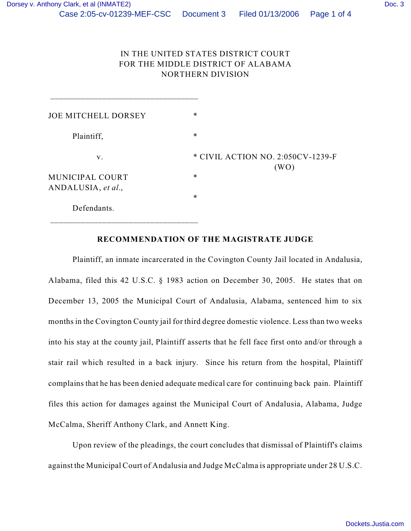# IN THE UNITED STATES DISTRICT COURT FOR THE MIDDLE DISTRICT OF ALABAMA NORTHERN DIVISION

| <b>JOE MITCHELL DORSEY</b>            | $\ast$                                    |
|---------------------------------------|-------------------------------------------|
| Plaintiff,                            | $\ast$                                    |
| V.                                    | * CIVIL ACTION NO. 2:050CV-1239-F<br>(WO) |
| MUNICIPAL COURT<br>ANDALUSIA, et al., | $\ast$                                    |
|                                       | $\ast$                                    |
| Defendants.                           |                                           |

## **RECOMMENDATION OF THE MAGISTRATE JUDGE**

Plaintiff, an inmate incarcerated in the Covington County Jail located in Andalusia, Alabama, filed this 42 U.S.C. § 1983 action on December 30, 2005. He states that on December 13, 2005 the Municipal Court of Andalusia, Alabama, sentenced him to six months in the Covington County jail for third degree domestic violence. Less than two weeks into his stay at the county jail, Plaintiff asserts that he fell face first onto and/or through a stair rail which resulted in a back injury. Since his return from the hospital, Plaintiff complains that he has been denied adequate medical care for continuing back pain. Plaintiff files this action for damages against the Municipal Court of Andalusia, Alabama, Judge McCalma, Sheriff Anthony Clark, and Annett King.

Upon review of the pleadings, the court concludes that dismissal of Plaintiff's claims against the Municipal Court of Andalusia and Judge McCalma is appropriate under 28 U.S.C.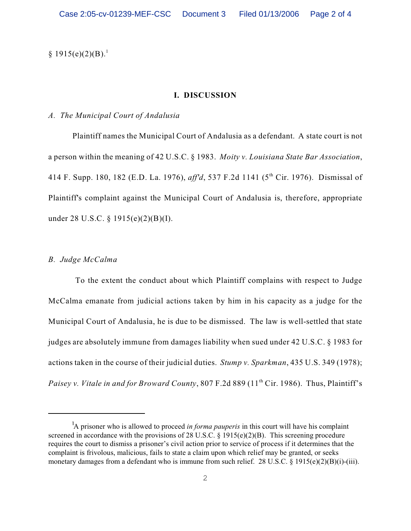$§ 1915(e)(2)(B).<sup>1</sup>$ 

#### **I. DISCUSSION**

#### *A. The Municipal Court of Andalusia*

Plaintiff names the Municipal Court of Andalusia as a defendant. A state court is not a person within the meaning of 42 U.S.C. § 1983. *Moity v. Louisiana State Bar Association*, 414 F. Supp. 180, 182 (E.D. La. 1976), *aff'd*, 537 F.2d 1141 (5<sup>th</sup> Cir. 1976). Dismissal of Plaintiff's complaint against the Municipal Court of Andalusia is, therefore, appropriate under 28 U.S.C. § 1915(e)(2)(B)(I).

### *B. Judge McCalma*

 To the extent the conduct about which Plaintiff complains with respect to Judge McCalma emanate from judicial actions taken by him in his capacity as a judge for the Municipal Court of Andalusia, he is due to be dismissed. The law is well-settled that state judges are absolutely immune from damages liability when sued under 42 U.S.C. § 1983 for actions taken in the course of their judicial duties. *Stump v. Sparkman*, 435 U.S. 349 (1978); *Paisey v. Vitale in and for Broward County*, 807 F.2d 889 (11<sup>th</sup> Cir. 1986). Thus, Plaintiff's

<sup>&</sup>lt;sup>1</sup>A prisoner who is allowed to proceed *in forma pauperis* in this court will have his complaint screened in accordance with the provisions of 28 U.S.C.  $\S$  1915(e)(2)(B). This screening procedure requires the court to dismiss a prisoner's civil action prior to service of process if it determines that the complaint is frivolous, malicious, fails to state a claim upon which relief may be granted, or seeks monetary damages from a defendant who is immune from such relief. 28 U.S.C. § 1915(e)(2)(B)(i)-(iii).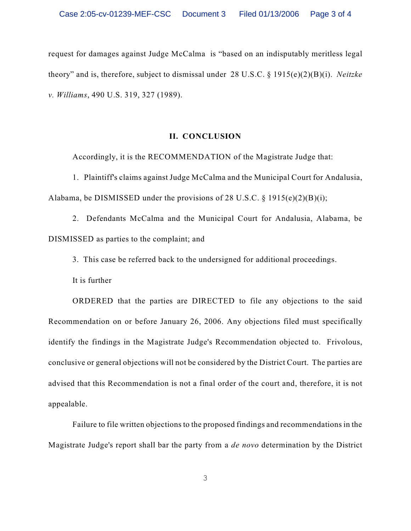request for damages against Judge McCalma is "based on an indisputably meritless legal theory" and is, therefore, subject to dismissal under 28 U.S.C. § 1915(e)(2)(B)(i). *Neitzke v. Williams*, 490 U.S. 319, 327 (1989).

#### **II. CONCLUSION**

Accordingly, it is the RECOMMENDATION of the Magistrate Judge that:

1. Plaintiff's claims against Judge McCalma and the Municipal Court for Andalusia, Alabama, be DISMISSED under the provisions of 28 U.S.C.  $\S$  1915(e)(2)(B)(i);

2. Defendants McCalma and the Municipal Court for Andalusia, Alabama, be DISMISSED as parties to the complaint; and

3. This case be referred back to the undersigned for additional proceedings.

It is further

ORDERED that the parties are DIRECTED to file any objections to the said Recommendation on or before January 26, 2006. Any objections filed must specifically identify the findings in the Magistrate Judge's Recommendation objected to. Frivolous, conclusive or general objections will not be considered by the District Court. The parties are advised that this Recommendation is not a final order of the court and, therefore, it is not appealable.

Failure to file written objections to the proposed findings and recommendations in the Magistrate Judge's report shall bar the party from a *de novo* determination by the District